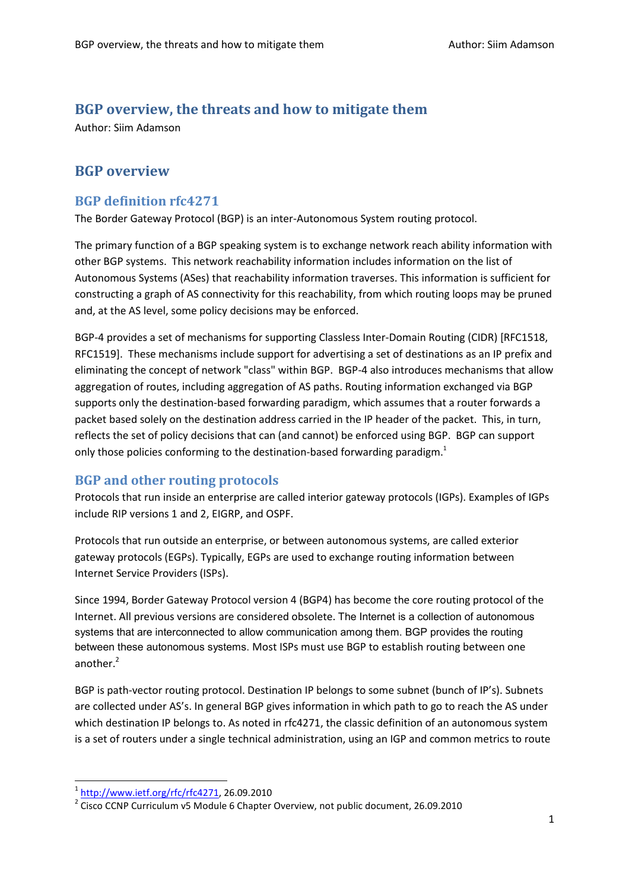# BGP overview, the threats and how to mitigate them

Author: Siim Adamson

# BGP overview

## BGP definition rfc4271

The Border Gateway Protocol (BGP) is an inter-Autonomous System routing protocol.

The primary function of a BGP speaking system is to exchange network reach ability information with other BGP systems. This network reachability information includes information on the list of Autonomous Systems (ASes) that reachability information traverses. This information is sufficient for constructing a graph of AS connectivity for this reachability, from which routing loops may be pruned and, at the AS level, some policy decisions may be enforced.

BGP-4 provides a set of mechanisms for supporting Classless Inter-Domain Routing (CIDR) [RFC1518, RFC1519]. These mechanisms include support for advertising a set of destinations as an IP prefix and eliminating the concept of network "class" within BGP. BGP-4 also introduces mechanisms that allow aggregation of routes, including aggregation of AS paths. Routing information exchanged via BGP supports only the destination-based forwarding paradigm, which assumes that a router forwards a packet based solely on the destination address carried in the IP header of the packet. This, in turn, reflects the set of policy decisions that can (and cannot) be enforced using BGP. BGP can support only those policies conforming to the destination-based forwarding paradigm.<sup>1</sup>

## BGP and other routing protocols

Protocols that run inside an enterprise are called interior gateway protocols (IGPs). Examples of IGPs include RIP versions 1 and 2, EIGRP, and OSPF.

Protocols that run outside an enterprise, or between autonomous systems, are called exterior gateway protocols (EGPs). Typically, EGPs are used to exchange routing information between Internet Service Providers (ISPs).

Since 1994, Border Gateway Protocol version 4 (BGP4) has become the core routing protocol of the Internet. All previous versions are considered obsolete. The Internet is a collection of autonomous systems that are interconnected to allow communication among them. BGP provides the routing between these autonomous systems. Most ISPs must use BGP to establish routing between one another. $2$ 

BGP is path-vector routing protocol. Destination IP belongs to some subnet (bunch of IP's). Subnets are collected under AS's. In general BGP gives information in which path to go to reach the AS under which destination IP belongs to. As noted in rfc4271, the classic definition of an autonomous system is a set of routers under a single technical administration, using an IGP and common metrics to route

 $\overline{\phantom{a}}$ 

<sup>&</sup>lt;sup>1</sup> http://www.ietf.org/rfc/rfc4271, 26.09.2010

 $2^{2}$  Cisco CCNP Curriculum v5 Module 6 Chapter Overview, not public document, 26.09.2010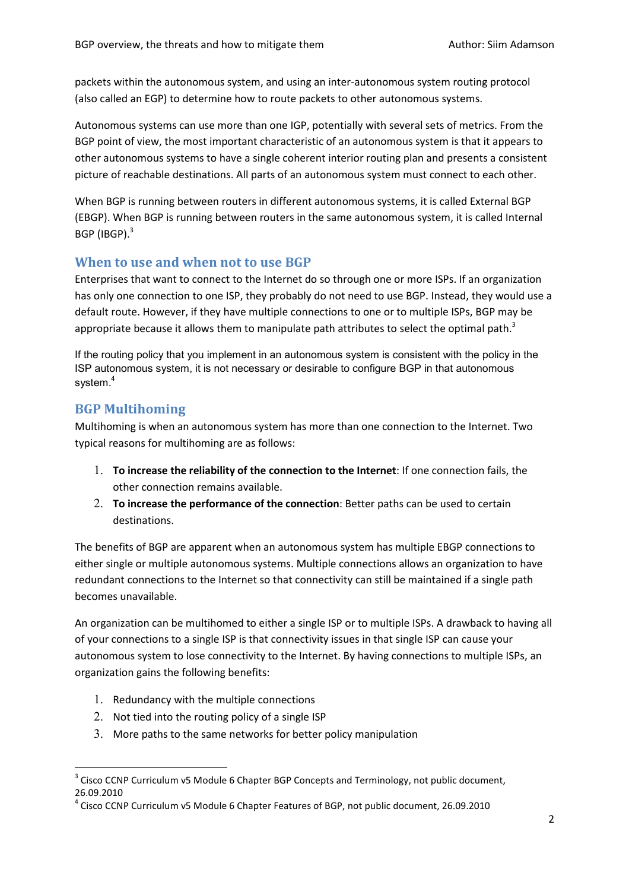packets within the autonomous system, and using an inter-autonomous system routing protocol (also called an EGP) to determine how to route packets to other autonomous systems.

Autonomous systems can use more than one IGP, potentially with several sets of metrics. From the BGP point of view, the most important characteristic of an autonomous system is that it appears to other autonomous systems to have a single coherent interior routing plan and presents a consistent picture of reachable destinations. All parts of an autonomous system must connect to each other.

When BGP is running between routers in different autonomous systems, it is called External BGP (EBGP). When BGP is running between routers in the same autonomous system, it is called Internal BGP (IBGP). $3$ 

## When to use and when not to use BGP

Enterprises that want to connect to the Internet do so through one or more ISPs. If an organization has only one connection to one ISP, they probably do not need to use BGP. Instead, they would use a default route. However, if they have multiple connections to one or to multiple ISPs, BGP may be appropriate because it allows them to manipulate path attributes to select the optimal path.<sup>3</sup>

If the routing policy that you implement in an autonomous system is consistent with the policy in the ISP autonomous system, it is not necessary or desirable to configure BGP in that autonomous system.<sup>4</sup>

## BGP Multihoming

l

Multihoming is when an autonomous system has more than one connection to the Internet. Two typical reasons for multihoming are as follows:

- 1. To increase the reliability of the connection to the Internet: If one connection fails, the other connection remains available.
- 2. To increase the performance of the connection: Better paths can be used to certain destinations.

The benefits of BGP are apparent when an autonomous system has multiple EBGP connections to either single or multiple autonomous systems. Multiple connections allows an organization to have redundant connections to the Internet so that connectivity can still be maintained if a single path becomes unavailable.

An organization can be multihomed to either a single ISP or to multiple ISPs. A drawback to having all of your connections to a single ISP is that connectivity issues in that single ISP can cause your autonomous system to lose connectivity to the Internet. By having connections to multiple ISPs, an organization gains the following benefits:

- 1. Redundancy with the multiple connections
- 2. Not tied into the routing policy of a single ISP
- 3. More paths to the same networks for better policy manipulation

<sup>&</sup>lt;sup>3</sup> Cisco CCNP Curriculum v5 Module 6 Chapter BGP Concepts and Terminology, not public document, 26.09.2010

<sup>&</sup>lt;sup>4</sup> Cisco CCNP Curriculum v5 Module 6 Chapter Features of BGP, not public document, 26.09.2010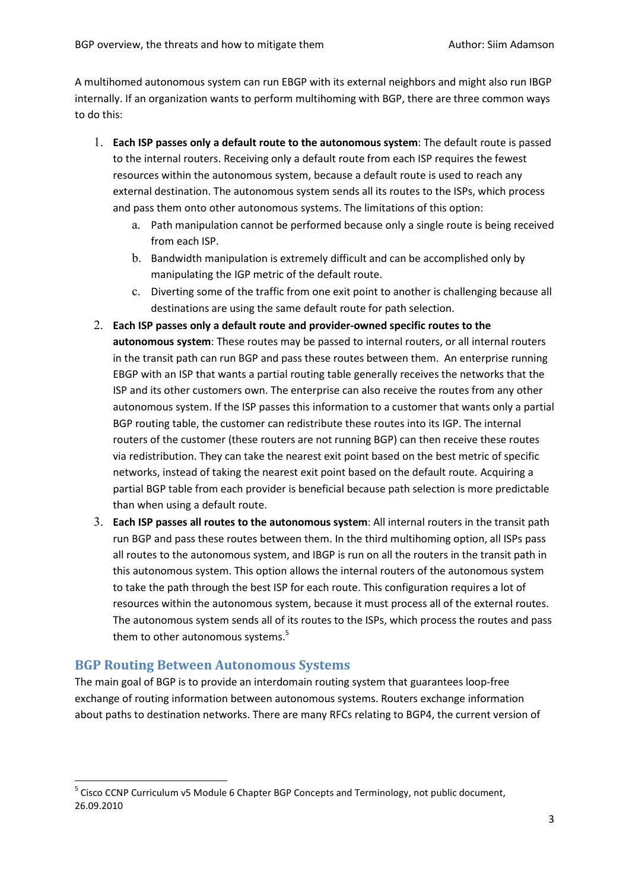A multihomed autonomous system can run EBGP with its external neighbors and might also run IBGP internally. If an organization wants to perform multihoming with BGP, there are three common ways to do this:

- 1. Each ISP passes only a default route to the autonomous system: The default route is passed to the internal routers. Receiving only a default route from each ISP requires the fewest resources within the autonomous system, because a default route is used to reach any external destination. The autonomous system sends all its routes to the ISPs, which process and pass them onto other autonomous systems. The limitations of this option:
	- a. Path manipulation cannot be performed because only a single route is being received from each ISP.
	- b. Bandwidth manipulation is extremely difficult and can be accomplished only by manipulating the IGP metric of the default route.
	- c. Diverting some of the traffic from one exit point to another is challenging because all destinations are using the same default route for path selection.
- 2. Each ISP passes only a default route and provider-owned specific routes to the autonomous system: These routes may be passed to internal routers, or all internal routers in the transit path can run BGP and pass these routes between them. An enterprise running EBGP with an ISP that wants a partial routing table generally receives the networks that the ISP and its other customers own. The enterprise can also receive the routes from any other autonomous system. If the ISP passes this information to a customer that wants only a partial BGP routing table, the customer can redistribute these routes into its IGP. The internal routers of the customer (these routers are not running BGP) can then receive these routes via redistribution. They can take the nearest exit point based on the best metric of specific networks, instead of taking the nearest exit point based on the default route. Acquiring a partial BGP table from each provider is beneficial because path selection is more predictable than when using a default route.
- 3. Each ISP passes all routes to the autonomous system: All internal routers in the transit path run BGP and pass these routes between them. In the third multihoming option, all ISPs pass all routes to the autonomous system, and IBGP is run on all the routers in the transit path in this autonomous system. This option allows the internal routers of the autonomous system to take the path through the best ISP for each route. This configuration requires a lot of resources within the autonomous system, because it must process all of the external routes. The autonomous system sends all of its routes to the ISPs, which process the routes and pass them to other autonomous systems.<sup>5</sup>

## BGP Routing Between Autonomous Systems

 $\overline{\phantom{a}}$ 

The main goal of BGP is to provide an interdomain routing system that guarantees loop-free exchange of routing information between autonomous systems. Routers exchange information about paths to destination networks. There are many RFCs relating to BGP4, the current version of

<sup>&</sup>lt;sup>5</sup> Cisco CCNP Curriculum v5 Module 6 Chapter BGP Concepts and Terminology, not public document, 26.09.2010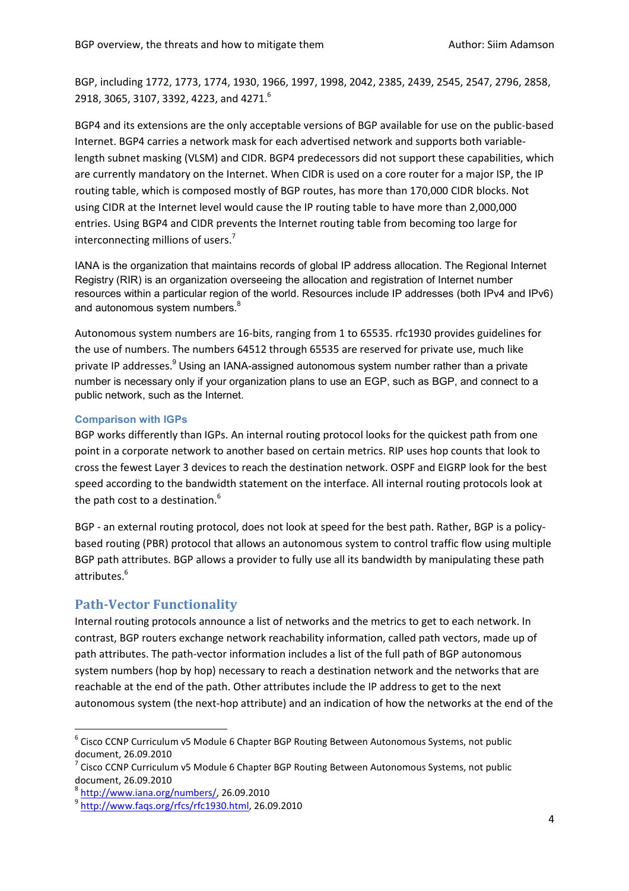BGP, including 1772, 1773, 1774, 1930, 1966, 1997, 1998, 2042, 2385, 2439, 2545, 2547, 2796, 2858, 2918, 3065, 3107, 3392, 4223, and 4271.<sup>6</sup>

BGP4 and its extensions are the only acceptable versions of BGP available for use on the public-based Internet. BGP4 carries a network mask for each advertised network and supports both variablelength subnet masking (VLSM) and CIDR. BGP4 predecessors did not support these capabilities, which are currently mandatory on the Internet. When CIDR is used on a core router for a major ISP, the IP routing table, which is composed mostly of BGP routes, has more than 170,000 CIDR blocks. Not using CIDR at the Internet level would cause the IP routing table to have more than 2,000,000 entries. Using BGP4 and CIDR prevents the Internet routing table from becoming too large for interconnecting millions of users. $<sup>7</sup>$ </sup>

IANA is the organization that maintains records of global IP address allocation. The Regional Internet Registry (RIR) is an organization overseeing the allocation and registration of Internet number resources within a particular region of the world. Resources include IP addresses (both IPv4 and IPv6) and autonomous system numbers.<sup>8</sup>

Autonomous system numbers are 16-bits, ranging from 1 to 65535. rfc1930 provides guidelines for the use of numbers. The numbers 64512 through 65535 are reserved for private use, much like private IP addresses.<sup>9</sup> Using an IANA-assigned autonomous system number rather than a private number is necessary only if your organization plans to use an EGP, such as BGP, and connect to a public network, such as the Internet.

#### Comparison with IGPs

BGP works differently than IGPs. An internal routing protocol looks for the quickest path from one point in a corporate network to another based on certain metrics. RIP uses hop counts that look to cross the fewest Layer 3 devices to reach the destination network. OSPF and EIGRP look for the best speed according to the bandwidth statement on the interface. All internal routing protocols look at the path cost to a destination.<sup>6</sup>

BGP - an external routing protocol, does not look at speed for the best path. Rather, BGP is a policybased routing (PBR) protocol that allows an autonomous system to control traffic flow using multiple BGP path attributes. BGP allows a provider to fully use all its bandwidth by manipulating these path attributes.<sup>6</sup>

### Path-Vector Functionality

Internal routing protocols announce a list of networks and the metrics to get to each network. In contrast, BGP routers exchange network reachability information, called path vectors, made up of path attributes. The path-vector information includes a list of the full path of BGP autonomous system numbers (hop by hop) necessary to reach a destination network and the networks that are reachable at the end of the path. Other attributes include the IP address to get to the next autonomous system (the next-hop attribute) and an indication of how the networks at the end of the

<sup>&</sup>lt;sup>6</sup> Cisco CCNP Curriculum v5 Module 6 Chapter BGP Routing Between Autonomous Systems, not public document, 26.09.2010

<sup>&</sup>lt;sup>7</sup> Cisco CCNP Curriculum v5 Module 6 Chapter BGP Routing Between Autonomous Systems, not public document, 26.09.2010

<sup>&</sup>lt;sup>8</sup> http://www.iana.org/numbers/, 26.09.2010

<sup>&</sup>lt;sup>9</sup> http://www.faqs.org/rfcs/rfc1930.html, 26.09.2010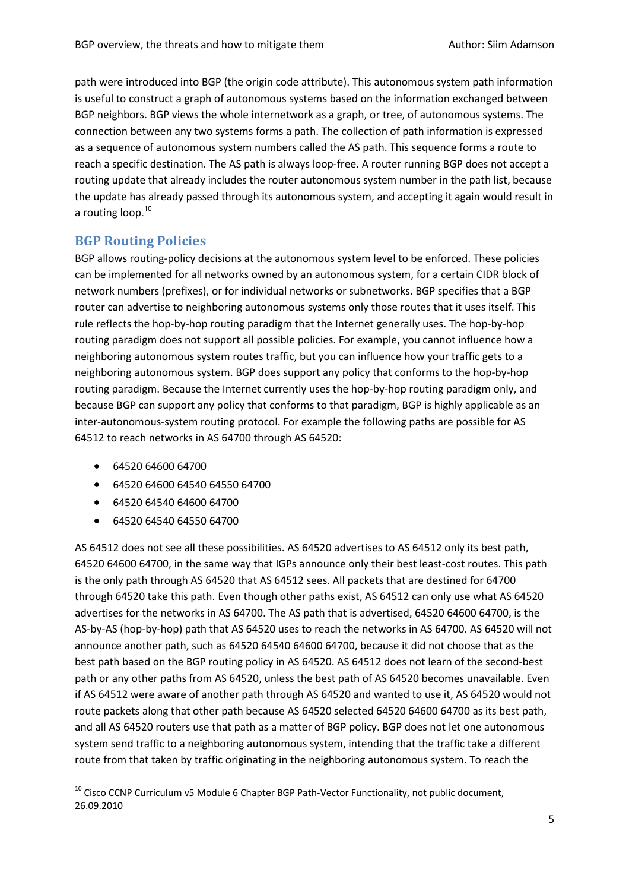path were introduced into BGP (the origin code attribute). This autonomous system path information is useful to construct a graph of autonomous systems based on the information exchanged between BGP neighbors. BGP views the whole internetwork as a graph, or tree, of autonomous systems. The connection between any two systems forms a path. The collection of path information is expressed as a sequence of autonomous system numbers called the AS path. This sequence forms a route to reach a specific destination. The AS path is always loop-free. A router running BGP does not accept a routing update that already includes the router autonomous system number in the path list, because the update has already passed through its autonomous system, and accepting it again would result in a routing loop.<sup>10</sup>

### BGP Routing Policies

BGP allows routing-policy decisions at the autonomous system level to be enforced. These policies can be implemented for all networks owned by an autonomous system, for a certain CIDR block of network numbers (prefixes), or for individual networks or subnetworks. BGP specifies that a BGP router can advertise to neighboring autonomous systems only those routes that it uses itself. This rule reflects the hop-by-hop routing paradigm that the Internet generally uses. The hop-by-hop routing paradigm does not support all possible policies. For example, you cannot influence how a neighboring autonomous system routes traffic, but you can influence how your traffic gets to a neighboring autonomous system. BGP does support any policy that conforms to the hop-by-hop routing paradigm. Because the Internet currently uses the hop-by-hop routing paradigm only, and because BGP can support any policy that conforms to that paradigm, BGP is highly applicable as an inter-autonomous-system routing protocol. For example the following paths are possible for AS 64512 to reach networks in AS 64700 through AS 64520:

• 64520 64600 64700

 $\overline{\phantom{a}}$ 

- 64520 64600 64540 64550 64700
- 64520 64540 64600 64700
- 64520 64540 64550 64700

AS 64512 does not see all these possibilities. AS 64520 advertises to AS 64512 only its best path, 64520 64600 64700, in the same way that IGPs announce only their best least-cost routes. This path is the only path through AS 64520 that AS 64512 sees. All packets that are destined for 64700 through 64520 take this path. Even though other paths exist, AS 64512 can only use what AS 64520 advertises for the networks in AS 64700. The AS path that is advertised, 64520 64600 64700, is the AS-by-AS (hop-by-hop) path that AS 64520 uses to reach the networks in AS 64700. AS 64520 will not announce another path, such as 64520 64540 64600 64700, because it did not choose that as the best path based on the BGP routing policy in AS 64520. AS 64512 does not learn of the second-best path or any other paths from AS 64520, unless the best path of AS 64520 becomes unavailable. Even if AS 64512 were aware of another path through AS 64520 and wanted to use it, AS 64520 would not route packets along that other path because AS 64520 selected 64520 64600 64700 as its best path, and all AS 64520 routers use that path as a matter of BGP policy. BGP does not let one autonomous system send traffic to a neighboring autonomous system, intending that the traffic take a different route from that taken by traffic originating in the neighboring autonomous system. To reach the

<sup>&</sup>lt;sup>10</sup> Cisco CCNP Curriculum v5 Module 6 Chapter BGP Path-Vector Functionality, not public document, 26.09.2010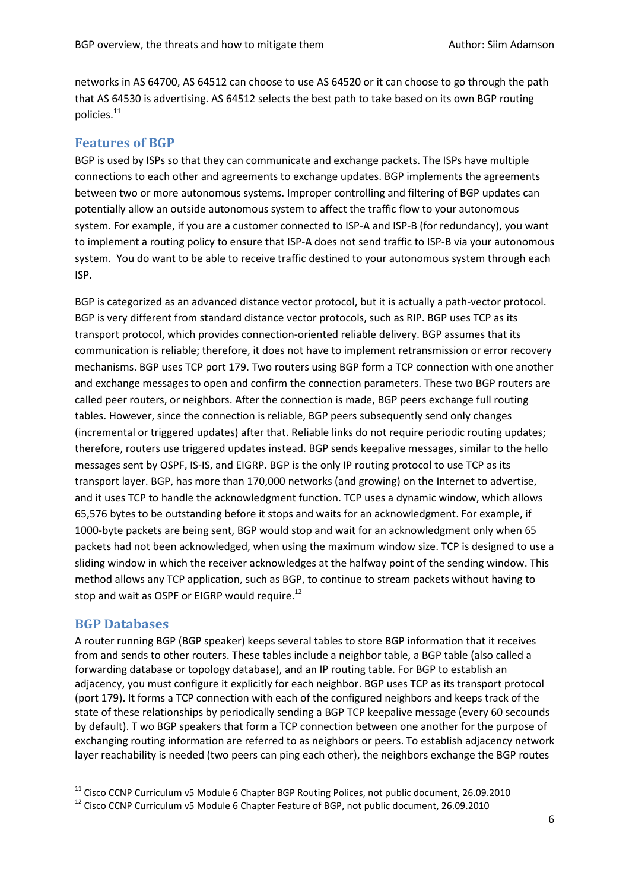networks in AS 64700, AS 64512 can choose to use AS 64520 or it can choose to go through the path that AS 64530 is advertising. AS 64512 selects the best path to take based on its own BGP routing policies.<sup>11</sup>

### Features of BGP

BGP is used by ISPs so that they can communicate and exchange packets. The ISPs have multiple connections to each other and agreements to exchange updates. BGP implements the agreements between two or more autonomous systems. Improper controlling and filtering of BGP updates can potentially allow an outside autonomous system to affect the traffic flow to your autonomous system. For example, if you are a customer connected to ISP-A and ISP-B (for redundancy), you want to implement a routing policy to ensure that ISP-A does not send traffic to ISP-B via your autonomous system. You do want to be able to receive traffic destined to your autonomous system through each ISP.

BGP is categorized as an advanced distance vector protocol, but it is actually a path-vector protocol. BGP is very different from standard distance vector protocols, such as RIP. BGP uses TCP as its transport protocol, which provides connection-oriented reliable delivery. BGP assumes that its communication is reliable; therefore, it does not have to implement retransmission or error recovery mechanisms. BGP uses TCP port 179. Two routers using BGP form a TCP connection with one another and exchange messages to open and confirm the connection parameters. These two BGP routers are called peer routers, or neighbors. After the connection is made, BGP peers exchange full routing tables. However, since the connection is reliable, BGP peers subsequently send only changes (incremental or triggered updates) after that. Reliable links do not require periodic routing updates; therefore, routers use triggered updates instead. BGP sends keepalive messages, similar to the hello messages sent by OSPF, IS-IS, and EIGRP. BGP is the only IP routing protocol to use TCP as its transport layer. BGP, has more than 170,000 networks (and growing) on the Internet to advertise, and it uses TCP to handle the acknowledgment function. TCP uses a dynamic window, which allows 65,576 bytes to be outstanding before it stops and waits for an acknowledgment. For example, if 1000-byte packets are being sent, BGP would stop and wait for an acknowledgment only when 65 packets had not been acknowledged, when using the maximum window size. TCP is designed to use a sliding window in which the receiver acknowledges at the halfway point of the sending window. This method allows any TCP application, such as BGP, to continue to stream packets without having to stop and wait as OSPF or EIGRP would require.<sup>12</sup>

### BGP Databases

l

A router running BGP (BGP speaker) keeps several tables to store BGP information that it receives from and sends to other routers. These tables include a neighbor table, a BGP table (also called a forwarding database or topology database), and an IP routing table. For BGP to establish an adjacency, you must configure it explicitly for each neighbor. BGP uses TCP as its transport protocol (port 179). It forms a TCP connection with each of the configured neighbors and keeps track of the state of these relationships by periodically sending a BGP TCP keepalive message (every 60 secounds by default). T wo BGP speakers that form a TCP connection between one another for the purpose of exchanging routing information are referred to as neighbors or peers. To establish adjacency network layer reachability is needed (two peers can ping each other), the neighbors exchange the BGP routes

<sup>&</sup>lt;sup>11</sup> Cisco CCNP Curriculum v5 Module 6 Chapter BGP Routing Polices, not public document, 26.09.2010

<sup>&</sup>lt;sup>12</sup> Cisco CCNP Curriculum v5 Module 6 Chapter Feature of BGP, not public document, 26.09.2010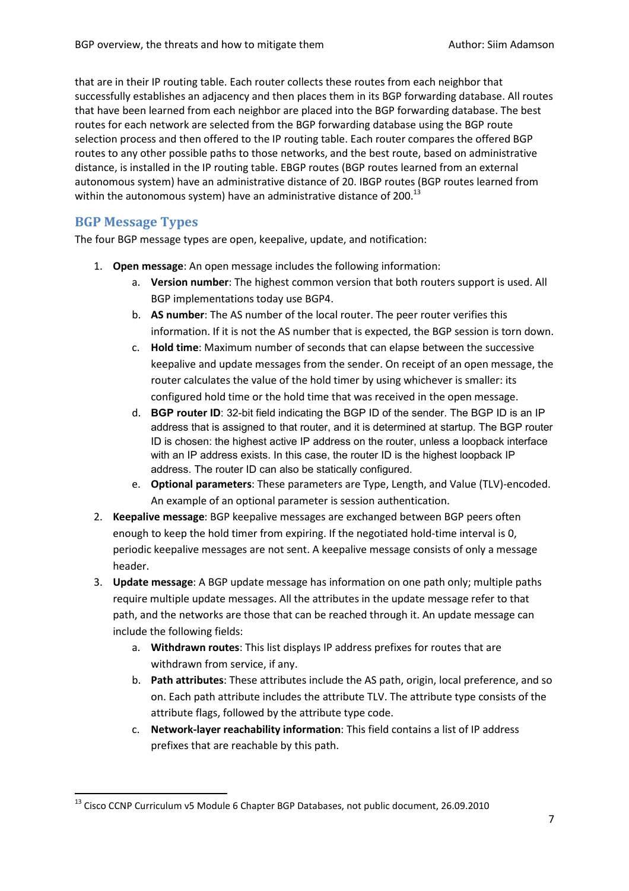that are in their IP routing table. Each router collects these routes from each neighbor that successfully establishes an adjacency and then places them in its BGP forwarding database. All routes that have been learned from each neighbor are placed into the BGP forwarding database. The best routes for each network are selected from the BGP forwarding database using the BGP route selection process and then offered to the IP routing table. Each router compares the offered BGP routes to any other possible paths to those networks, and the best route, based on administrative distance, is installed in the IP routing table. EBGP routes (BGP routes learned from an external autonomous system) have an administrative distance of 20. IBGP routes (BGP routes learned from within the autonomous system) have an administrative distance of 200.<sup>13</sup>

## BGP Message Types

l

The four BGP message types are open, keepalive, update, and notification:

- 1. Open message: An open message includes the following information:
	- a. Version number: The highest common version that both routers support is used. All BGP implementations today use BGP4.
	- b. AS number: The AS number of the local router. The peer router verifies this information. If it is not the AS number that is expected, the BGP session is torn down.
	- c. Hold time: Maximum number of seconds that can elapse between the successive keepalive and update messages from the sender. On receipt of an open message, the router calculates the value of the hold timer by using whichever is smaller: its configured hold time or the hold time that was received in the open message.
	- d. BGP router ID: 32-bit field indicating the BGP ID of the sender. The BGP ID is an IP address that is assigned to that router, and it is determined at startup. The BGP router ID is chosen: the highest active IP address on the router, unless a loopback interface with an IP address exists. In this case, the router ID is the highest loopback IP address. The router ID can also be statically configured.
	- e. Optional parameters: These parameters are Type, Length, and Value (TLV)-encoded. An example of an optional parameter is session authentication.
- 2. Keepalive message: BGP keepalive messages are exchanged between BGP peers often enough to keep the hold timer from expiring. If the negotiated hold-time interval is 0, periodic keepalive messages are not sent. A keepalive message consists of only a message header.
- 3. Update message: A BGP update message has information on one path only; multiple paths require multiple update messages. All the attributes in the update message refer to that path, and the networks are those that can be reached through it. An update message can include the following fields:
	- a. Withdrawn routes: This list displays IP address prefixes for routes that are withdrawn from service, if any.
	- b. Path attributes: These attributes include the AS path, origin, local preference, and so on. Each path attribute includes the attribute TLV. The attribute type consists of the attribute flags, followed by the attribute type code.
	- c. Network-layer reachability information: This field contains a list of IP address prefixes that are reachable by this path.

<sup>&</sup>lt;sup>13</sup> Cisco CCNP Curriculum v5 Module 6 Chapter BGP Databases, not public document, 26.09.2010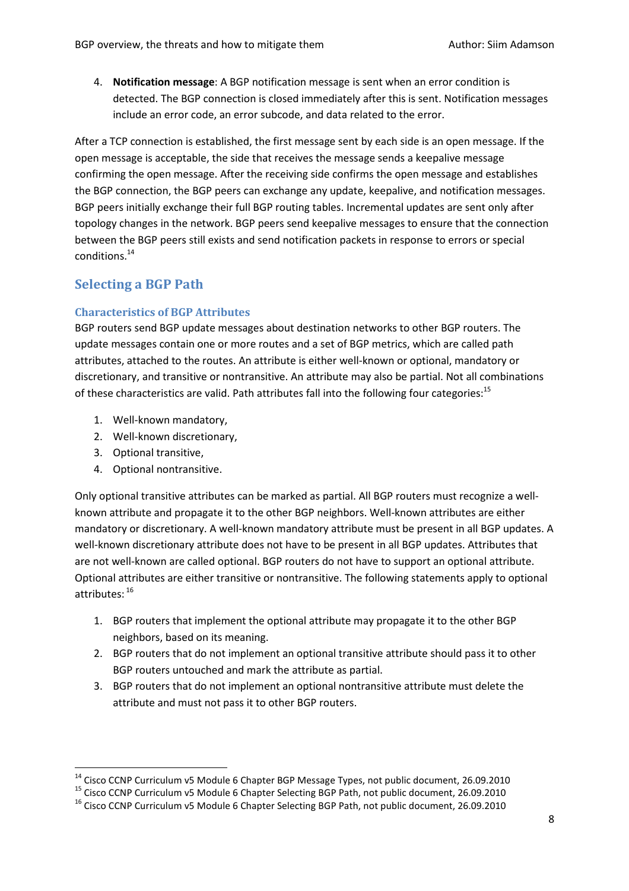4. Notification message: A BGP notification message is sent when an error condition is detected. The BGP connection is closed immediately after this is sent. Notification messages include an error code, an error subcode, and data related to the error.

After a TCP connection is established, the first message sent by each side is an open message. If the open message is acceptable, the side that receives the message sends a keepalive message confirming the open message. After the receiving side confirms the open message and establishes the BGP connection, the BGP peers can exchange any update, keepalive, and notification messages. BGP peers initially exchange their full BGP routing tables. Incremental updates are sent only after topology changes in the network. BGP peers send keepalive messages to ensure that the connection between the BGP peers still exists and send notification packets in response to errors or special conditions.<sup>14</sup>

# Selecting a BGP Path

## Characteristics of BGP Attributes

BGP routers send BGP update messages about destination networks to other BGP routers. The update messages contain one or more routes and a set of BGP metrics, which are called path attributes, attached to the routes. An attribute is either well-known or optional, mandatory or discretionary, and transitive or nontransitive. An attribute may also be partial. Not all combinations of these characteristics are valid. Path attributes fall into the following four categories:<sup>15</sup>

- 1. Well-known mandatory,
- 2. Well-known discretionary,
- 3. Optional transitive,

l

4. Optional nontransitive.

Only optional transitive attributes can be marked as partial. All BGP routers must recognize a wellknown attribute and propagate it to the other BGP neighbors. Well-known attributes are either mandatory or discretionary. A well-known mandatory attribute must be present in all BGP updates. A well-known discretionary attribute does not have to be present in all BGP updates. Attributes that are not well-known are called optional. BGP routers do not have to support an optional attribute. Optional attributes are either transitive or nontransitive. The following statements apply to optional attributes: 16

- 1. BGP routers that implement the optional attribute may propagate it to the other BGP neighbors, based on its meaning.
- 2. BGP routers that do not implement an optional transitive attribute should pass it to other BGP routers untouched and mark the attribute as partial.
- 3. BGP routers that do not implement an optional nontransitive attribute must delete the attribute and must not pass it to other BGP routers.

<sup>&</sup>lt;sup>14</sup> Cisco CCNP Curriculum v5 Module 6 Chapter BGP Message Types, not public document, 26.09.2010

<sup>&</sup>lt;sup>15</sup> Cisco CCNP Curriculum v5 Module 6 Chapter Selecting BGP Path, not public document, 26.09.2010

<sup>&</sup>lt;sup>16</sup> Cisco CCNP Curriculum v5 Module 6 Chapter Selecting BGP Path, not public document, 26.09.2010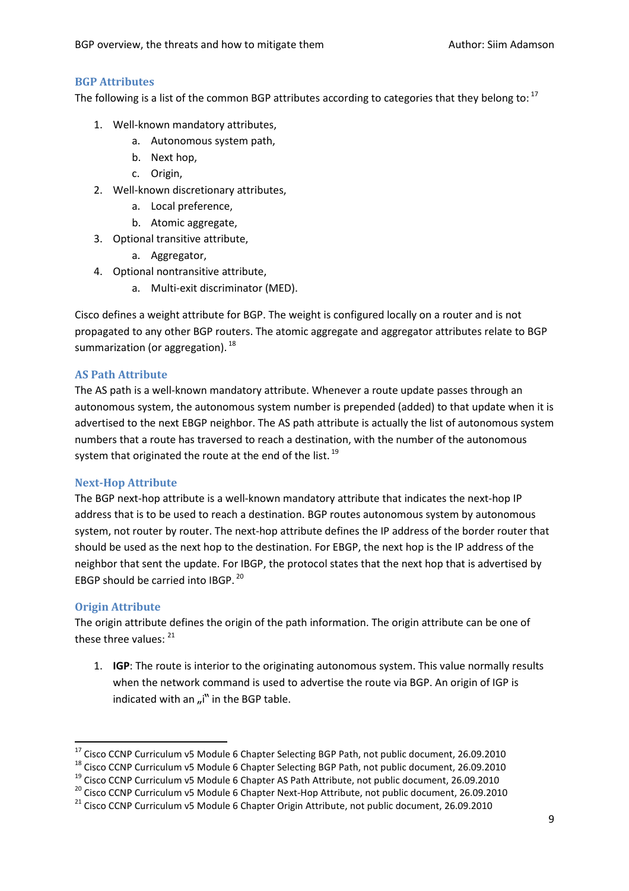### BGP Attributes

The following is a list of the common BGP attributes according to categories that they belong to:  $17$ 

- 1. Well-known mandatory attributes,
	- a. Autonomous system path,
	- b. Next hop,
	- c. Origin,
- 2. Well-known discretionary attributes,
	- a. Local preference,
	- b. Atomic aggregate,
- 3. Optional transitive attribute,
	- a. Aggregator,
- 4. Optional nontransitive attribute,
	- a. Multi-exit discriminator (MED).

Cisco defines a weight attribute for BGP. The weight is configured locally on a router and is not propagated to any other BGP routers. The atomic aggregate and aggregator attributes relate to BGP summarization (or aggregation).<sup>18</sup>

## AS Path Attribute

The AS path is a well-known mandatory attribute. Whenever a route update passes through an autonomous system, the autonomous system number is prepended (added) to that update when it is advertised to the next EBGP neighbor. The AS path attribute is actually the list of autonomous system numbers that a route has traversed to reach a destination, with the number of the autonomous system that originated the route at the end of the list.<sup>19</sup>

### Next-Hop Attribute

The BGP next-hop attribute is a well-known mandatory attribute that indicates the next-hop IP address that is to be used to reach a destination. BGP routes autonomous system by autonomous system, not router by router. The next-hop attribute defines the IP address of the border router that should be used as the next hop to the destination. For EBGP, the next hop is the IP address of the neighbor that sent the update. For IBGP, the protocol states that the next hop that is advertised by EBGP should be carried into IBGP. $^{20}$ 

### Origin Attribute

l

The origin attribute defines the origin of the path information. The origin attribute can be one of these three values:  $21$ 

1. IGP: The route is interior to the originating autonomous system. This value normally results when the network command is used to advertise the route via BGP. An origin of IGP is indicated with an  $\mu$ <sup>"</sup> in the BGP table.

<sup>&</sup>lt;sup>17</sup> Cisco CCNP Curriculum v5 Module 6 Chapter Selecting BGP Path, not public document, 26.09.2010

 $18$  Cisco CCNP Curriculum v5 Module 6 Chapter Selecting BGP Path, not public document, 26.09.2010

<sup>&</sup>lt;sup>19</sup> Cisco CCNP Curriculum v5 Module 6 Chapter AS Path Attribute, not public document, 26.09.2010

<sup>&</sup>lt;sup>20</sup> Cisco CCNP Curriculum v5 Module 6 Chapter Next-Hop Attribute, not public document, 26.09.2010

<sup>&</sup>lt;sup>21</sup> Cisco CCNP Curriculum v5 Module 6 Chapter Origin Attribute, not public document, 26.09.2010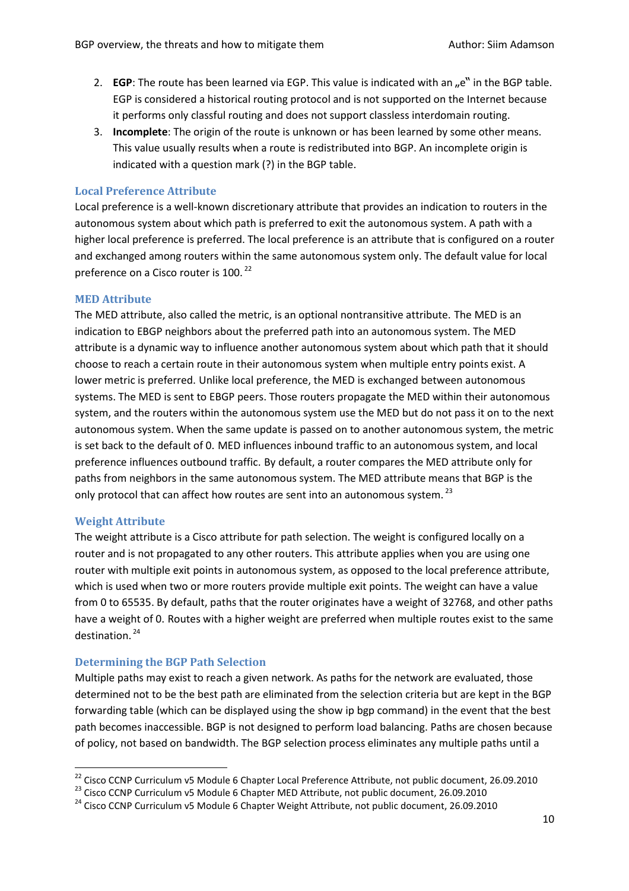- 2. EGP: The route has been learned via EGP. This value is indicated with an "e" in the BGP table. EGP is considered a historical routing protocol and is not supported on the Internet because it performs only classful routing and does not support classless interdomain routing.
- 3. Incomplete: The origin of the route is unknown or has been learned by some other means. This value usually results when a route is redistributed into BGP. An incomplete origin is indicated with a question mark (?) in the BGP table.

#### Local Preference Attribute

Local preference is a well-known discretionary attribute that provides an indication to routers in the autonomous system about which path is preferred to exit the autonomous system. A path with a higher local preference is preferred. The local preference is an attribute that is configured on a router and exchanged among routers within the same autonomous system only. The default value for local preference on a Cisco router is  $100.<sup>22</sup>$ 

#### MED Attribute

The MED attribute, also called the metric, is an optional nontransitive attribute. The MED is an indication to EBGP neighbors about the preferred path into an autonomous system. The MED attribute is a dynamic way to influence another autonomous system about which path that it should choose to reach a certain route in their autonomous system when multiple entry points exist. A lower metric is preferred. Unlike local preference, the MED is exchanged between autonomous systems. The MED is sent to EBGP peers. Those routers propagate the MED within their autonomous system, and the routers within the autonomous system use the MED but do not pass it on to the next autonomous system. When the same update is passed on to another autonomous system, the metric is set back to the default of 0. MED influences inbound traffic to an autonomous system, and local preference influences outbound traffic. By default, a router compares the MED attribute only for paths from neighbors in the same autonomous system. The MED attribute means that BGP is the only protocol that can affect how routes are sent into an autonomous system.<sup>23</sup>

#### Weight Attribute

l

The weight attribute is a Cisco attribute for path selection. The weight is configured locally on a router and is not propagated to any other routers. This attribute applies when you are using one router with multiple exit points in autonomous system, as opposed to the local preference attribute, which is used when two or more routers provide multiple exit points. The weight can have a value from 0 to 65535. By default, paths that the router originates have a weight of 32768, and other paths have a weight of 0. Routes with a higher weight are preferred when multiple routes exist to the same destination.<sup>24</sup>

### Determining the BGP Path Selection

Multiple paths may exist to reach a given network. As paths for the network are evaluated, those determined not to be the best path are eliminated from the selection criteria but are kept in the BGP forwarding table (which can be displayed using the show ip bgp command) in the event that the best path becomes inaccessible. BGP is not designed to perform load balancing. Paths are chosen because of policy, not based on bandwidth. The BGP selection process eliminates any multiple paths until a

<sup>&</sup>lt;sup>22</sup> Cisco CCNP Curriculum v5 Module 6 Chapter Local Preference Attribute, not public document, 26.09.2010

<sup>&</sup>lt;sup>23</sup> Cisco CCNP Curriculum v5 Module 6 Chapter MED Attribute, not public document, 26.09.2010

<sup>&</sup>lt;sup>24</sup> Cisco CCNP Curriculum v5 Module 6 Chapter Weight Attribute, not public document, 26.09.2010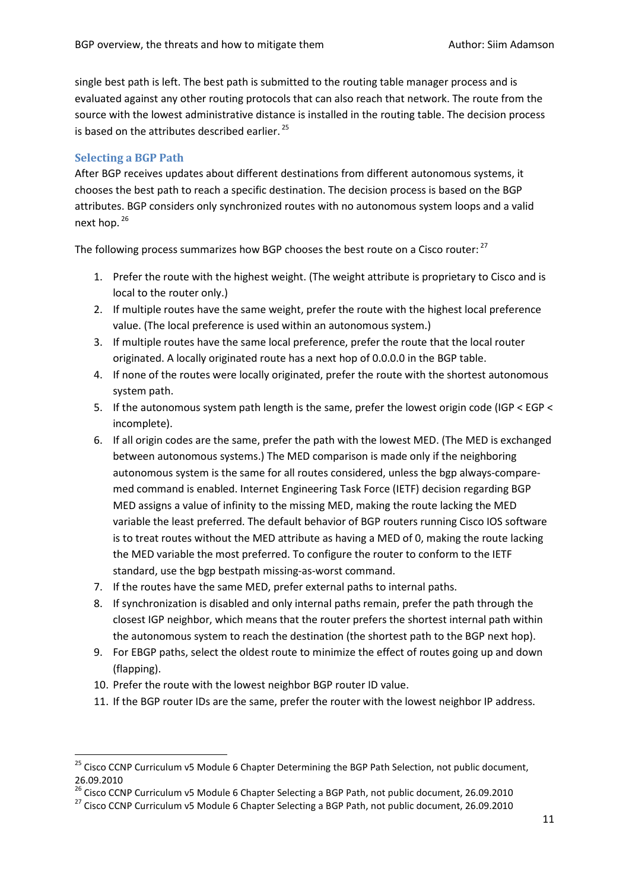single best path is left. The best path is submitted to the routing table manager process and is evaluated against any other routing protocols that can also reach that network. The route from the source with the lowest administrative distance is installed in the routing table. The decision process is based on the attributes described earlier.<sup>25</sup>

### Selecting a BGP Path

After BGP receives updates about different destinations from different autonomous systems, it chooses the best path to reach a specific destination. The decision process is based on the BGP attributes. BGP considers only synchronized routes with no autonomous system loops and a valid next hop.  $26$ 

The following process summarizes how BGP chooses the best route on a Cisco router:<sup>27</sup>

- 1. Prefer the route with the highest weight. (The weight attribute is proprietary to Cisco and is local to the router only.)
- 2. If multiple routes have the same weight, prefer the route with the highest local preference value. (The local preference is used within an autonomous system.)
- 3. If multiple routes have the same local preference, prefer the route that the local router originated. A locally originated route has a next hop of 0.0.0.0 in the BGP table.
- 4. If none of the routes were locally originated, prefer the route with the shortest autonomous system path.
- 5. If the autonomous system path length is the same, prefer the lowest origin code (IGP < EGP < incomplete).
- 6. If all origin codes are the same, prefer the path with the lowest MED. (The MED is exchanged between autonomous systems.) The MED comparison is made only if the neighboring autonomous system is the same for all routes considered, unless the bgp always-comparemed command is enabled. Internet Engineering Task Force (IETF) decision regarding BGP MED assigns a value of infinity to the missing MED, making the route lacking the MED variable the least preferred. The default behavior of BGP routers running Cisco IOS software is to treat routes without the MED attribute as having a MED of 0, making the route lacking the MED variable the most preferred. To configure the router to conform to the IETF standard, use the bgp bestpath missing-as-worst command.
- 7. If the routes have the same MED, prefer external paths to internal paths.
- 8. If synchronization is disabled and only internal paths remain, prefer the path through the closest IGP neighbor, which means that the router prefers the shortest internal path within the autonomous system to reach the destination (the shortest path to the BGP next hop).
- 9. For EBGP paths, select the oldest route to minimize the effect of routes going up and down (flapping).
- 10. Prefer the route with the lowest neighbor BGP router ID value.
- 11. If the BGP router IDs are the same, prefer the router with the lowest neighbor IP address.

<sup>&</sup>lt;sup>25</sup> Cisco CCNP Curriculum v5 Module 6 Chapter Determining the BGP Path Selection, not public document, 26.09.2010

 $^{26}$  Cisco CCNP Curriculum v5 Module 6 Chapter Selecting a BGP Path, not public document, 26.09.2010

<sup>&</sup>lt;sup>27</sup> Cisco CCNP Curriculum v5 Module 6 Chapter Selecting a BGP Path, not public document, 26.09.2010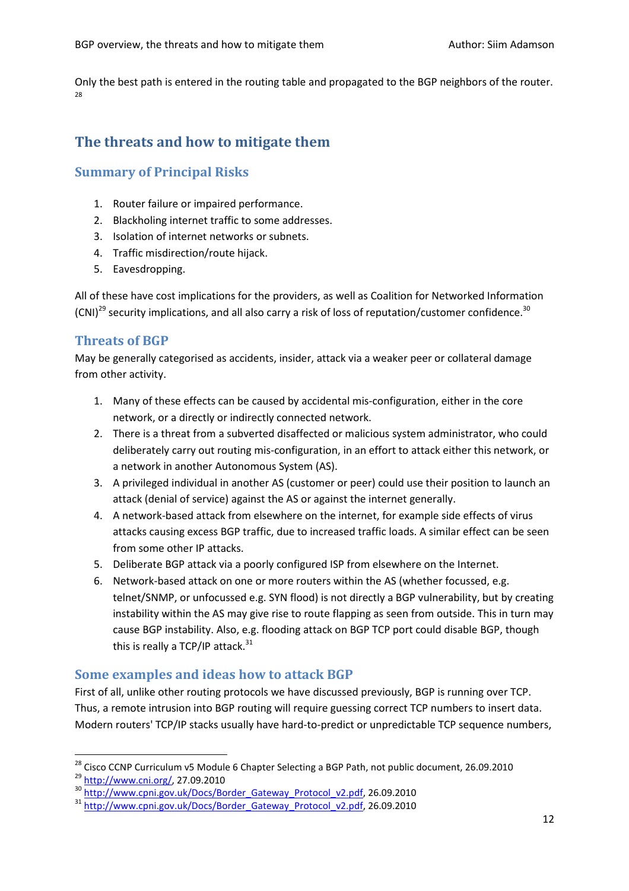Only the best path is entered in the routing table and propagated to the BGP neighbors of the router. 28

# The threats and how to mitigate them

## Summary of Principal Risks

- 1. Router failure or impaired performance.
- 2. Blackholing internet traffic to some addresses.
- 3. Isolation of internet networks or subnets.
- 4. Traffic misdirection/route hijack.
- 5. Eavesdropping.

All of these have cost implications for the providers, as well as Coalition for Networked Information  $(CNI)^{29}$  security implications, and all also carry a risk of loss of reputation/customer confidence.<sup>30</sup>

## Threats of BGP

May be generally categorised as accidents, insider, attack via a weaker peer or collateral damage from other activity.

- 1. Many of these effects can be caused by accidental mis-configuration, either in the core network, or a directly or indirectly connected network.
- 2. There is a threat from a subverted disaffected or malicious system administrator, who could deliberately carry out routing mis-configuration, in an effort to attack either this network, or a network in another Autonomous System (AS).
- 3. A privileged individual in another AS (customer or peer) could use their position to launch an attack (denial of service) against the AS or against the internet generally.
- 4. A network-based attack from elsewhere on the internet, for example side effects of virus attacks causing excess BGP traffic, due to increased traffic loads. A similar effect can be seen from some other IP attacks.
- 5. Deliberate BGP attack via a poorly configured ISP from elsewhere on the Internet.
- 6. Network-based attack on one or more routers within the AS (whether focussed, e.g. telnet/SNMP, or unfocussed e.g. SYN flood) is not directly a BGP vulnerability, but by creating instability within the AS may give rise to route flapping as seen from outside. This in turn may cause BGP instability. Also, e.g. flooding attack on BGP TCP port could disable BGP, though this is really a TCP/IP attack.<sup>31</sup>

## Some examples and ideas how to attack BGP

First of all, unlike other routing protocols we have discussed previously, BGP is running over TCP. Thus, a remote intrusion into BGP routing will require guessing correct TCP numbers to insert data. Modern routers' TCP/IP stacks usually have hard-to-predict or unpredictable TCP sequence numbers,

<sup>&</sup>lt;sup>28</sup> Cisco CCNP Curriculum v5 Module 6 Chapter Selecting a BGP Path, not public document, 26.09.2010

<sup>&</sup>lt;sup>29</sup> http://www.cni.org/, 27.09.2010

<sup>30</sup> http://www.cpni.gov.uk/Docs/Border\_Gateway\_Protocol\_v2.pdf, 26.09.2010

<sup>31</sup> http://www.cpni.gov.uk/Docs/Border\_Gateway\_Protocol\_v2.pdf, 26.09.2010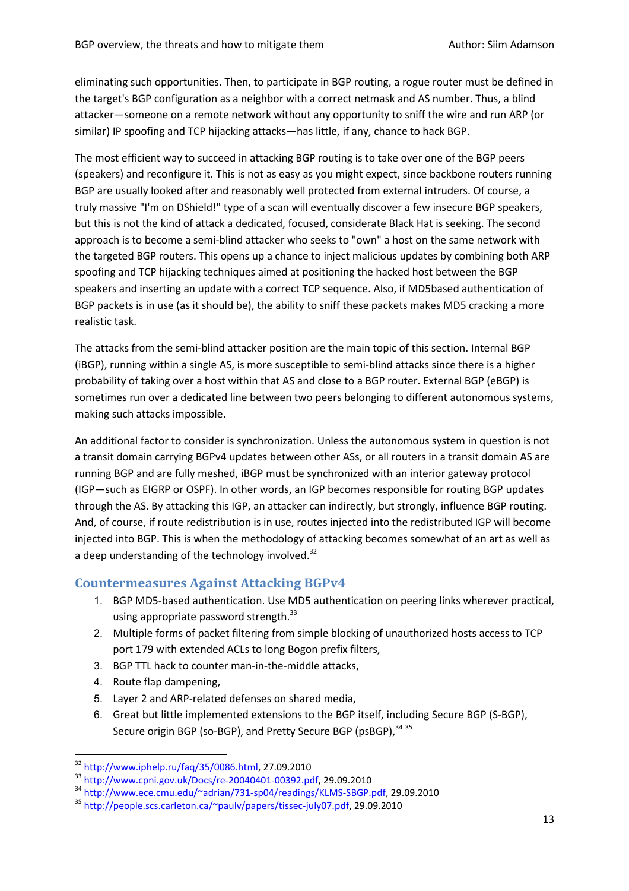eliminating such opportunities. Then, to participate in BGP routing, a rogue router must be defined in the target's BGP configuration as a neighbor with a correct netmask and AS number. Thus, a blind attacker—someone on a remote network without any opportunity to sniff the wire and run ARP (or similar) IP spoofing and TCP hijacking attacks—has little, if any, chance to hack BGP.

The most efficient way to succeed in attacking BGP routing is to take over one of the BGP peers (speakers) and reconfigure it. This is not as easy as you might expect, since backbone routers running BGP are usually looked after and reasonably well protected from external intruders. Of course, a truly massive "I'm on DShield!" type of a scan will eventually discover a few insecure BGP speakers, but this is not the kind of attack a dedicated, focused, considerate Black Hat is seeking. The second approach is to become a semi-blind attacker who seeks to "own" a host on the same network with the targeted BGP routers. This opens up a chance to inject malicious updates by combining both ARP spoofing and TCP hijacking techniques aimed at positioning the hacked host between the BGP speakers and inserting an update with a correct TCP sequence. Also, if MD5based authentication of BGP packets is in use (as it should be), the ability to sniff these packets makes MD5 cracking a more realistic task.

The attacks from the semi-blind attacker position are the main topic of this section. Internal BGP (iBGP), running within a single AS, is more susceptible to semi-blind attacks since there is a higher probability of taking over a host within that AS and close to a BGP router. External BGP (eBGP) is sometimes run over a dedicated line between two peers belonging to different autonomous systems, making such attacks impossible.

An additional factor to consider is synchronization. Unless the autonomous system in question is not a transit domain carrying BGPv4 updates between other ASs, or all routers in a transit domain AS are running BGP and are fully meshed, iBGP must be synchronized with an interior gateway protocol (IGP—such as EIGRP or OSPF). In other words, an IGP becomes responsible for routing BGP updates through the AS. By attacking this IGP, an attacker can indirectly, but strongly, influence BGP routing. And, of course, if route redistribution is in use, routes injected into the redistributed IGP will become injected into BGP. This is when the methodology of attacking becomes somewhat of an art as well as a deep understanding of the technology involved. $32$ 

## Countermeasures Against Attacking BGPv4

- 1. BGP MD5-based authentication. Use MD5 authentication on peering links wherever practical, using appropriate password strength.<sup>33</sup>
- 2. Multiple forms of packet filtering from simple blocking of unauthorized hosts access to TCP port 179 with extended ACLs to long Bogon prefix filters,
- 3. BGP TTL hack to counter man-in-the-middle attacks,
- 4. Route flap dampening,

- 5. Layer 2 and ARP-related defenses on shared media,
- 6. Great but little implemented extensions to the BGP itself, including Secure BGP (S-BGP), Secure origin BGP (so-BGP), and Pretty Secure BGP (psBGP).<sup>34 35</sup>

<sup>32</sup> http://www.iphelp.ru/faq/35/0086.html, 27.09.2010

<sup>33</sup> http://www.cpni.gov.uk/Docs/re-20040401-00392.pdf, 29.09.2010

<sup>34</sup> http://www.ece.cmu.edu/~adrian/731-sp04/readings/KLMS-SBGP.pdf, 29.09.2010

<sup>35</sup> http://people.scs.carleton.ca/~paulv/papers/tissec-july07.pdf, 29.09.2010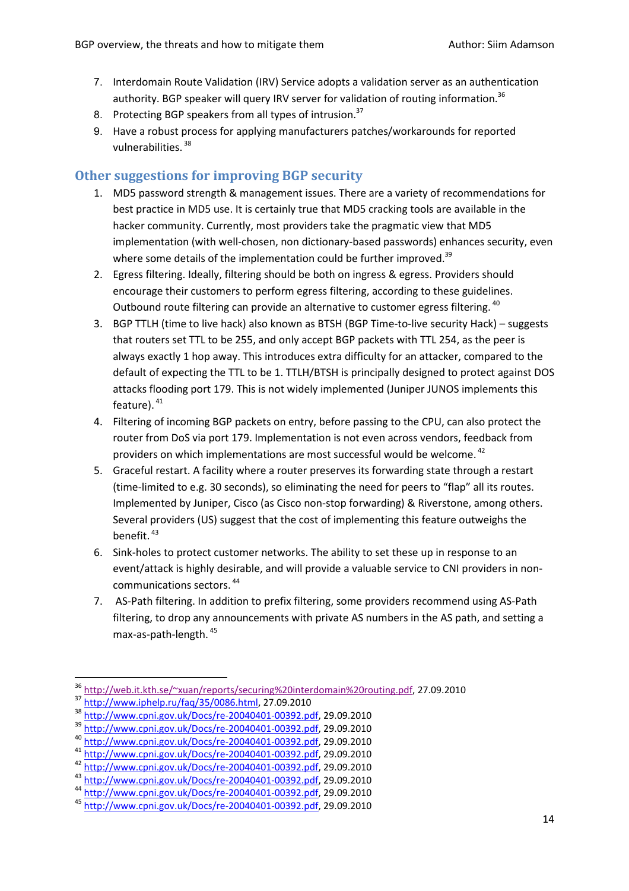- 7. Interdomain Route Validation (IRV) Service adopts a validation server as an authentication authority. BGP speaker will query IRV server for validation of routing information.<sup>36</sup>
- 8. Protecting BGP speakers from all types of intrusion.<sup>37</sup>
- 9. Have a robust process for applying manufacturers patches/workarounds for reported vulnerabilities.<sup>38</sup>

## Other suggestions for improving BGP security

- 1. MD5 password strength & management issues. There are a variety of recommendations for best practice in MD5 use. It is certainly true that MD5 cracking tools are available in the hacker community. Currently, most providers take the pragmatic view that MD5 implementation (with well-chosen, non dictionary-based passwords) enhances security, even where some details of the implementation could be further improved.<sup>39</sup>
- 2. Egress filtering. Ideally, filtering should be both on ingress & egress. Providers should encourage their customers to perform egress filtering, according to these guidelines. Outbound route filtering can provide an alternative to customer egress filtering.<sup>40</sup>
- 3. BGP TTLH (time to live hack) also known as BTSH (BGP Time-to-live security Hack) suggests that routers set TTL to be 255, and only accept BGP packets with TTL 254, as the peer is always exactly 1 hop away. This introduces extra difficulty for an attacker, compared to the default of expecting the TTL to be 1. TTLH/BTSH is principally designed to protect against DOS attacks flooding port 179. This is not widely implemented (Juniper JUNOS implements this feature).<sup>41</sup>
- 4. Filtering of incoming BGP packets on entry, before passing to the CPU, can also protect the router from DoS via port 179. Implementation is not even across vendors, feedback from providers on which implementations are most successful would be welcome.<sup>42</sup>
- 5. Graceful restart. A facility where a router preserves its forwarding state through a restart (time-limited to e.g. 30 seconds), so eliminating the need for peers to "flap" all its routes. Implemented by Juniper, Cisco (as Cisco non-stop forwarding) & Riverstone, among others. Several providers (US) suggest that the cost of implementing this feature outweighs the benefit.<sup>43</sup>
- 6. Sink-holes to protect customer networks. The ability to set these up in response to an event/attack is highly desirable, and will provide a valuable service to CNI providers in noncommunications sectors.<sup>44</sup>
- 7. AS-Path filtering. In addition to prefix filtering, some providers recommend using AS-Path filtering, to drop any announcements with private AS numbers in the AS path, and setting a max-as-path-length.<sup>45</sup>

l

<sup>36</sup> http://web.it.kth.se/~xuan/reports/securing%20interdomain%20routing.pdf, 27.09.2010

 $\frac{37 \text{ http://www.iphelp.ru/faq/35/0086.html}}{57 \text{ http://www.iphelp.ru/faq/35/0086.html}}$ , 27.09.2010

<sup>38</sup> http://www.cpni.gov.uk/Docs/re-20040401-00392.pdf, 29.09.2010

<sup>39</sup> http://www.cpni.gov.uk/Docs/re-20040401-00392.pdf, 29.09.2010

<sup>40</sup> http://www.cpni.gov.uk/Docs/re-20040401-00392.pdf, 29.09.2010

<sup>41</sup> http://www.cpni.gov.uk/Docs/re-20040401-00392.pdf, 29.09.2010

<sup>42</sup> http://www.cpni.gov.uk/Docs/re-20040401-00392.pdf, 29.09.2010

<sup>43</sup> http://www.cpni.gov.uk/Docs/re-20040401-00392.pdf, 29.09.2010

<sup>44</sup> http://www.cpni.gov.uk/Docs/re-20040401-00392.pdf, 29.09.2010

<sup>45</sup> http://www.cpni.gov.uk/Docs/re-20040401-00392.pdf, 29.09.2010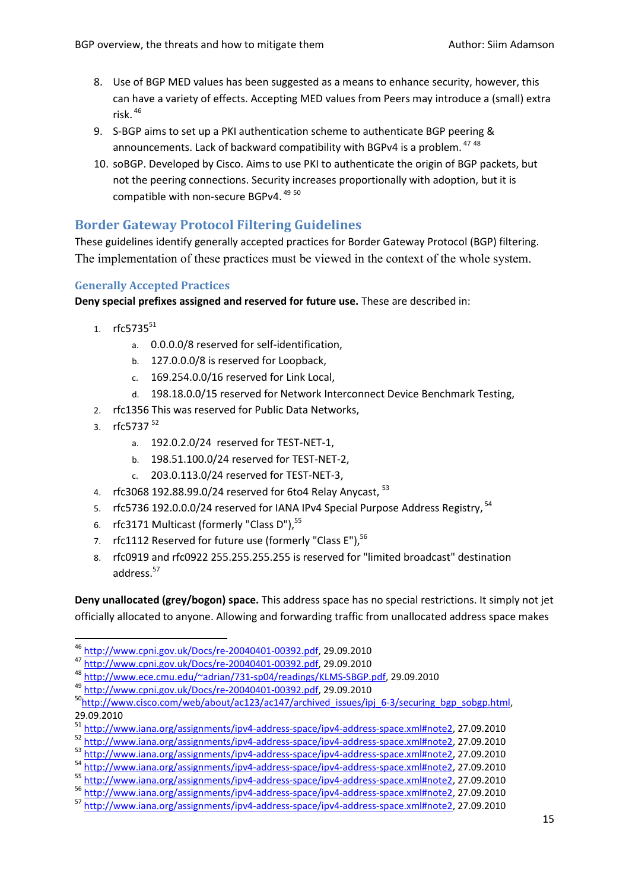- 8. Use of BGP MED values has been suggested as a means to enhance security, however, this can have a variety of effects. Accepting MED values from Peers may introduce a (small) extra risk.<sup>46</sup>
- 9. S-BGP aims to set up a PKI authentication scheme to authenticate BGP peering & announcements. Lack of backward compatibility with BGPv4 is a problem.  $4748$
- 10. soBGP. Developed by Cisco. Aims to use PKI to authenticate the origin of BGP packets, but not the peering connections. Security increases proportionally with adoption, but it is compatible with non-secure BGPv4.<sup>49 50</sup>

## Border Gateway Protocol Filtering Guidelines

These guidelines identify generally accepted practices for Border Gateway Protocol (BGP) filtering. The implementation of these practices must be viewed in the context of the whole system.

### Generally Accepted Practices

Deny special prefixes assigned and reserved for future use. These are described in:

- 1. rfc5735<sup>51</sup>
	- a. 0.0.0.0/8 reserved for self-identification,
	- b. 127.0.0.0/8 is reserved for Loopback,
	- c. 169.254.0.0/16 reserved for Link Local,
	- d. 198.18.0.0/15 reserved for Network Interconnect Device Benchmark Testing,
- 2. rfc1356 This was reserved for Public Data Networks,
- 3 rfc5737<sup>52</sup>

l

- a. 192.0.2.0/24 reserved for TEST-NET-1,
- b. 198.51.100.0/24 reserved for TEST-NET-2,
- c. 203.0.113.0/24 reserved for TEST-NET-3,
- 4. rfc3068 192.88.99.0/24 reserved for 6to4 Relay Anycast, <sup>53</sup>
- 5. rfc5736 192.0.0.0/24 reserved for IANA IPv4 Special Purpose Address Registry, <sup>54</sup>
- 6. rfc3171 Multicast (formerly "Class D"),<sup>55</sup>
- 7. rfc1112 Reserved for future use (formerly "Class  $E$ ").<sup>56</sup>
- 8. rfc0919 and rfc0922 255.255.255.255 is reserved for "limited broadcast" destination address.<sup>57</sup>

Deny unallocated (grey/bogon) space. This address space has no special restrictions. It simply not jet officially allocated to anyone. Allowing and forwarding traffic from unallocated address space makes

<sup>46</sup> http://www.cpni.gov.uk/Docs/re-20040401-00392.pdf, 29.09.2010

<sup>47</sup> http://www.cpni.gov.uk/Docs/re-20040401-00392.pdf, 29.09.2010

<sup>48</sup> http://www.ece.cmu.edu/~adrian/731-sp04/readings/KLMS-SBGP.pdf, 29.09.2010

<sup>49</sup> http://www.cpni.gov.uk/Docs/re-20040401-00392.pdf, 29.09.2010

<sup>50</sup>http://www.cisco.com/web/about/ac123/ac147/archived\_issues/ipj\_6-3/securing\_bgp\_sobgp.html, 29.09.2010

<sup>51</sup> http://www.iana.org/assignments/ipv4-address-space/ipv4-address-space.xml#note2, 27.09.2010

<sup>52</sup> http://www.iana.org/assignments/ipv4-address-space/ipv4-address-space.xml#note2, 27.09.2010

<sup>53</sup> http://www.iana.org/assignments/ipv4-address-space/ipv4-address-space.xml#note2, 27.09.2010

<sup>54</sup> http://www.iana.org/assignments/ipv4-address-space/ipv4-address-space.xml#note2, 27.09.2010

<sup>55</sup> http://www.iana.org/assignments/ipv4-address-space/ipv4-address-space.xml#note2, 27.09.2010

<sup>56</sup> http://www.iana.org/assignments/ipv4-address-space/ipv4-address-space.xml#note2, 27.09.2010

<sup>57</sup> http://www.iana.org/assignments/ipv4-address-space/ipv4-address-space.xml#note2, 27.09.2010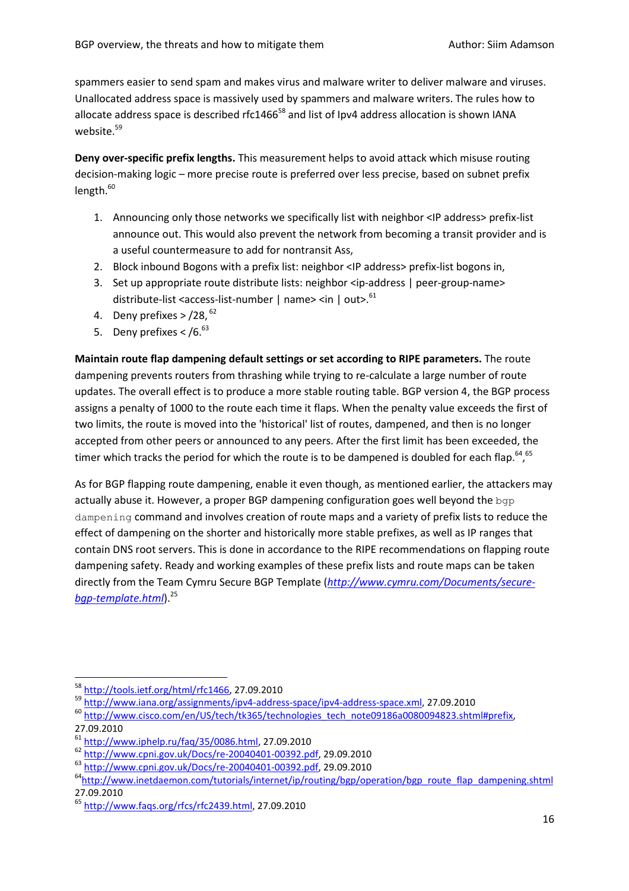spammers easier to send spam and makes virus and malware writer to deliver malware and viruses. Unallocated address space is massively used by spammers and malware writers. The rules how to allocate address space is described rfc1466<sup>58</sup> and list of Ipv4 address allocation is shown IANA website.<sup>59</sup>

Deny over-specific prefix lengths. This measurement helps to avoid attack which misuse routing decision-making logic – more precise route is preferred over less precise, based on subnet prefix length.<sup>60</sup>

- 1. Announcing only those networks we specifically list with neighbor <IP address> prefix-list announce out. This would also prevent the network from becoming a transit provider and is a useful countermeasure to add for nontransit Ass,
- 2. Block inbound Bogons with a prefix list: neighbor <IP address> prefix-list bogons in,
- 3. Set up appropriate route distribute lists: neighbor <ip-address | peer-group-name> distribute-list <access-list-number | name> <in | out>.<sup>61</sup>
- 4. Deny prefixes  $>$  /28,  $^{62}$
- 5. Deny prefixes  $<$  /6. $<sup>63</sup>$ </sup>

Maintain route flap dampening default settings or set according to RIPE parameters. The route dampening prevents routers from thrashing while trying to re-calculate a large number of route updates. The overall effect is to produce a more stable routing table. BGP version 4, the BGP process assigns a penalty of 1000 to the route each time it flaps. When the penalty value exceeds the first of two limits, the route is moved into the 'historical' list of routes, dampened, and then is no longer accepted from other peers or announced to any peers. After the first limit has been exceeded, the timer which tracks the period for which the route is to be dampened is doubled for each flap.<sup>64, 65</sup>

As for BGP flapping route dampening, enable it even though, as mentioned earlier, the attackers may actually abuse it. However, a proper BGP dampening configuration goes well beyond the  $b_{\text{GPD}}$ dampening command and involves creation of route maps and a variety of prefix lists to reduce the effect of dampening on the shorter and historically more stable prefixes, as well as IP ranges that contain DNS root servers. This is done in accordance to the RIPE recommendations on flapping route dampening safety. Ready and working examples of these prefix lists and route maps can be taken directly from the Team Cymru Secure BGP Template (http://www.cymru.com/Documents/securebap-template.html $^{125}$ 

l

<sup>58</sup> http://tools.ietf.org/html/rfc1466, 27.09.2010

<sup>59</sup> http://www.iana.org/assignments/ipv4-address-space/ipv4-address-space.xml, 27.09.2010

<sup>60</sup> http://www.cisco.com/en/US/tech/tk365/technologies\_tech\_note09186a0080094823.shtml#prefix,

<sup>27.09.2010</sup> 

<sup>61</sup> http://www.iphelp.ru/faq/35/0086.html, 27.09.2010

 $^{62}$  http://www.cpni.gov.uk/Docs/re-20040401-00392.pdf, 29.09.2010

<sup>63</sup> http://www.cpni.gov.uk/Docs/re-20040401-00392.pdf, 29.09.2010

<sup>&</sup>lt;sup>64</sup>http://www.inetdaemon.com/tutorials/internet/ip/routing/bgp/operation/bgp\_route\_flap\_dampening.shtml 27.09.2010

 $\frac{5}{6}$  http://www.faqs.org/rfcs/rfc2439.html, 27.09.2010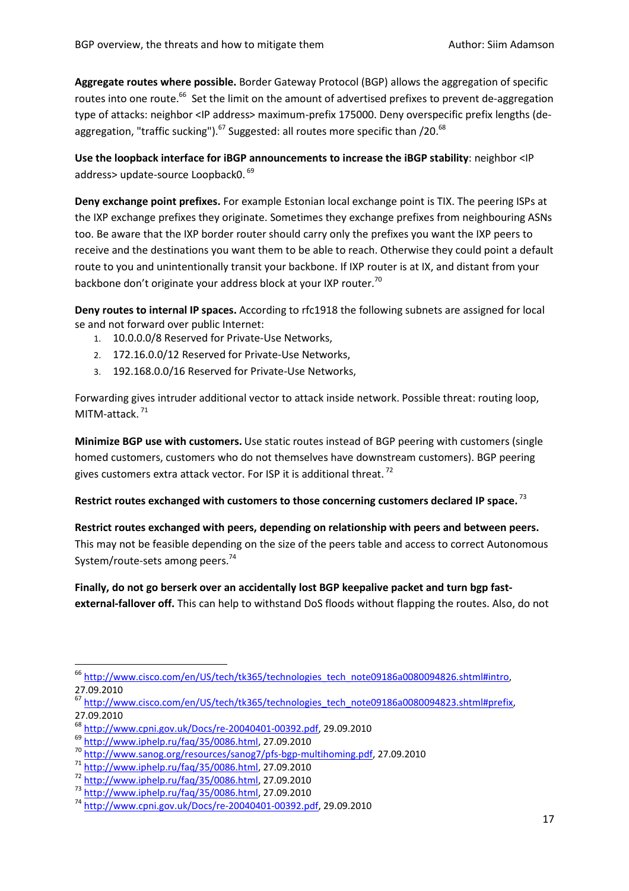Aggregate routes where possible. Border Gateway Protocol (BGP) allows the aggregation of specific routes into one route.<sup>66</sup> Set the limit on the amount of advertised prefixes to prevent de-aggregation type of attacks: neighbor <IP address> maximum-prefix 175000. Deny overspecific prefix lengths (deaggregation, "traffic sucking").<sup>67</sup> Suggested: all routes more specific than /20.<sup>68</sup>

Use the loopback interface for iBGP announcements to increase the iBGP stability: neighbor <IP address> update-source Loopback0.<sup>69</sup>

Deny exchange point prefixes. For example Estonian local exchange point is TIX. The peering ISPs at the IXP exchange prefixes they originate. Sometimes they exchange prefixes from neighbouring ASNs too. Be aware that the IXP border router should carry only the prefixes you want the IXP peers to receive and the destinations you want them to be able to reach. Otherwise they could point a default route to you and unintentionally transit your backbone. If IXP router is at IX, and distant from your backbone don't originate your address block at your IXP router.<sup>70</sup>

Deny routes to internal IP spaces. According to rfc1918 the following subnets are assigned for local se and not forward over public Internet:

- 1. 10.0.0.0/8 Reserved for Private-Use Networks,
- 2. 172.16.0.0/12 Reserved for Private-Use Networks,
- 3. 192.168.0.0/16 Reserved for Private-Use Networks,

Forwarding gives intruder additional vector to attack inside network. Possible threat: routing loop, MITM-attack.<sup>71</sup>

Minimize BGP use with customers. Use static routes instead of BGP peering with customers (single homed customers, customers who do not themselves have downstream customers). BGP peering gives customers extra attack vector. For ISP it is additional threat.<sup>72</sup>

Restrict routes exchanged with customers to those concerning customers declared IP space.<sup>73</sup>

Restrict routes exchanged with peers, depending on relationship with peers and between peers. This may not be feasible depending on the size of the peers table and access to correct Autonomous System/route-sets among peers.<sup>74</sup>

Finally, do not go berserk over an accidentally lost BGP keepalive packet and turn bgp fastexternal-fallover off. This can help to withstand DoS floods without flapping the routes. Also, do not

<sup>&</sup>lt;sup>66</sup> http://www.cisco.com/en/US/tech/tk365/technologies\_tech\_note09186a0080094826.shtml#intro, 27.09.2010

<sup>&</sup>lt;sup>67</sup> http://www.cisco.com/en/US/tech/tk365/technologies\_tech\_note09186a0080094823.shtml#prefix, 27.09.2010

<sup>68</sup> http://www.cpni.gov.uk/Docs/re-20040401-00392.pdf, 29.09.2010

<sup>69</sup> http://www.iphelp.ru/faq/35/0086.html, 27.09.2010

<sup>70</sup> http://www.sanog.org/resources/sanog7/pfs-bgp-multihoming.pdf, 27.09.2010

<sup>71</sup> http://www.iphelp.ru/faq/35/0086.html, 27.09.2010

<sup>72</sup> http://www.iphelp.ru/faq/35/0086.html, 27.09.2010

<sup>73</sup> http://www.iphelp.ru/faq/35/0086.html, 27.09.2010

<sup>74</sup> http://www.cpni.gov.uk/Docs/re-20040401-00392.pdf, 29.09.2010